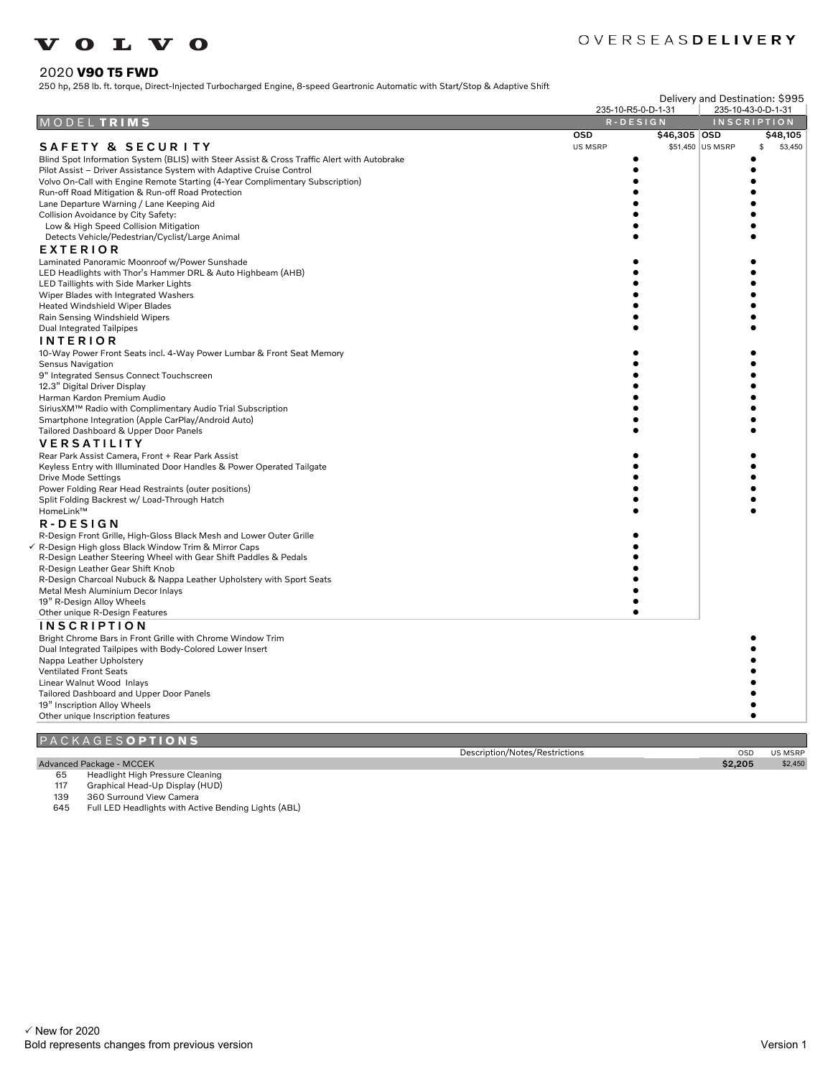### OVERSEASDELIVERY

#### 2020 **V90 T5 FWD**

250 hp, 258 lb. ft. torque, Direct-Injected Turbocharged Engine, 8-speed Geartronic Automatic with Start/Stop & Adaptive Shift

| Delivery and Destination: \$995                                                             |                                |                    |              |
|---------------------------------------------------------------------------------------------|--------------------------------|--------------------|--------------|
|                                                                                             | 235-10-R5-0-D-1-31             | 235-10-43-0-D-1-31 |              |
| <b>DELTRIMS</b><br>M O                                                                      | $R - D E S I G N$              | <b>INSCRIPTION</b> |              |
|                                                                                             | <b>OSD</b><br>\$46,305 OSD     |                    | \$48,105     |
| <b>SAFETY &amp; SECURITY</b>                                                                | US MSRP                        | \$51,450 US MSRP   | 53,450<br>\$ |
| Blind Spot Information System (BLIS) with Steer Assist & Cross Traffic Alert with Autobrake |                                |                    |              |
| Pilot Assist - Driver Assistance System with Adaptive Cruise Control                        |                                |                    |              |
| Volvo On-Call with Engine Remote Starting (4-Year Complimentary Subscription)               |                                |                    |              |
| Run-off Road Mitigation & Run-off Road Protection                                           |                                |                    |              |
| Lane Departure Warning / Lane Keeping Aid                                                   |                                |                    |              |
| Collision Avoidance by City Safety:                                                         |                                |                    |              |
| Low & High Speed Collision Mitigation                                                       |                                |                    |              |
| Detects Vehicle/Pedestrian/Cyclist/Large Animal                                             |                                |                    |              |
| <b>EXTERIOR</b>                                                                             |                                |                    |              |
| Laminated Panoramic Moonroof w/Power Sunshade                                               |                                |                    |              |
| LED Headlights with Thor's Hammer DRL & Auto Highbeam (AHB)                                 |                                |                    |              |
| LED Taillights with Side Marker Lights                                                      |                                |                    |              |
| Wiper Blades with Integrated Washers                                                        |                                |                    |              |
| <b>Heated Windshield Wiper Blades</b>                                                       |                                |                    |              |
| Rain Sensing Windshield Wipers                                                              |                                |                    |              |
| <b>Dual Integrated Tailpipes</b>                                                            |                                |                    |              |
| <b>INTERIOR</b>                                                                             |                                |                    |              |
| 10-Way Power Front Seats incl. 4-Way Power Lumbar & Front Seat Memory                       |                                |                    |              |
| Sensus Navigation                                                                           |                                |                    |              |
| 9" Integrated Sensus Connect Touchscreen                                                    |                                |                    |              |
| 12.3" Digital Driver Display                                                                |                                |                    |              |
| Harman Kardon Premium Audio                                                                 |                                |                    |              |
| SiriusXM™ Radio with Complimentary Audio Trial Subscription                                 |                                |                    |              |
| Smartphone Integration (Apple CarPlay/Android Auto)                                         |                                |                    |              |
| Tailored Dashboard & Upper Door Panels                                                      |                                |                    |              |
| <b>VERSATILITY</b>                                                                          |                                |                    |              |
| Rear Park Assist Camera, Front + Rear Park Assist                                           |                                |                    |              |
| Keyless Entry with Illuminated Door Handles & Power Operated Tailgate                       |                                |                    |              |
| Drive Mode Settings                                                                         |                                |                    |              |
| Power Folding Rear Head Restraints (outer positions)                                        |                                |                    |              |
| Split Folding Backrest w/ Load-Through Hatch                                                |                                |                    |              |
| HomeLink™                                                                                   |                                |                    |              |
| R-DESIGN                                                                                    |                                |                    |              |
| R-Design Front Grille, High-Gloss Black Mesh and Lower Outer Grille                         |                                |                    |              |
| √ R-Design High gloss Black Window Trim & Mirror Caps                                       |                                |                    |              |
| R-Design Leather Steering Wheel with Gear Shift Paddles & Pedals                            |                                |                    |              |
| R-Design Leather Gear Shift Knob                                                            |                                |                    |              |
| R-Design Charcoal Nubuck & Nappa Leather Upholstery with Sport Seats                        |                                |                    |              |
| Metal Mesh Aluminium Decor Inlays                                                           |                                |                    |              |
| 19" R-Design Alloy Wheels                                                                   |                                |                    |              |
| Other unique R-Design Features                                                              |                                |                    |              |
| <b>INSCRIPTION</b>                                                                          |                                |                    |              |
| Bright Chrome Bars in Front Grille with Chrome Window Trim                                  |                                |                    |              |
| Dual Integrated Tailpipes with Body-Colored Lower Insert                                    |                                |                    |              |
| Nappa Leather Upholstery                                                                    |                                |                    |              |
| <b>Ventilated Front Seats</b>                                                               |                                |                    |              |
| Linear Walnut Wood Inlays                                                                   |                                |                    |              |
| Tailored Dashboard and Upper Door Panels                                                    |                                |                    |              |
| 19" Inscription Alloy Wheels                                                                |                                |                    |              |
| Other unique Inscription features                                                           |                                |                    |              |
|                                                                                             |                                |                    |              |
| C K A G E S <b>O P T I O N S</b>                                                            |                                |                    |              |
|                                                                                             | Description/Notes/Restrictions | OSD                | US MSRP      |
| Advanced Package - MCCEK                                                                    |                                | \$2,205            | \$2,450      |

# Advanced Package - MCCEK<br>65 Headlight High Pre<br>117 Graphical Head-Up

65 Headlight High Pressure Cleaning

117 Graphical Head-Up Display (HUD)

139 360 Surround View Camera<br>645 Full LED Headlights with Act

Full LED Headlights with Active Bending Lights (ABL)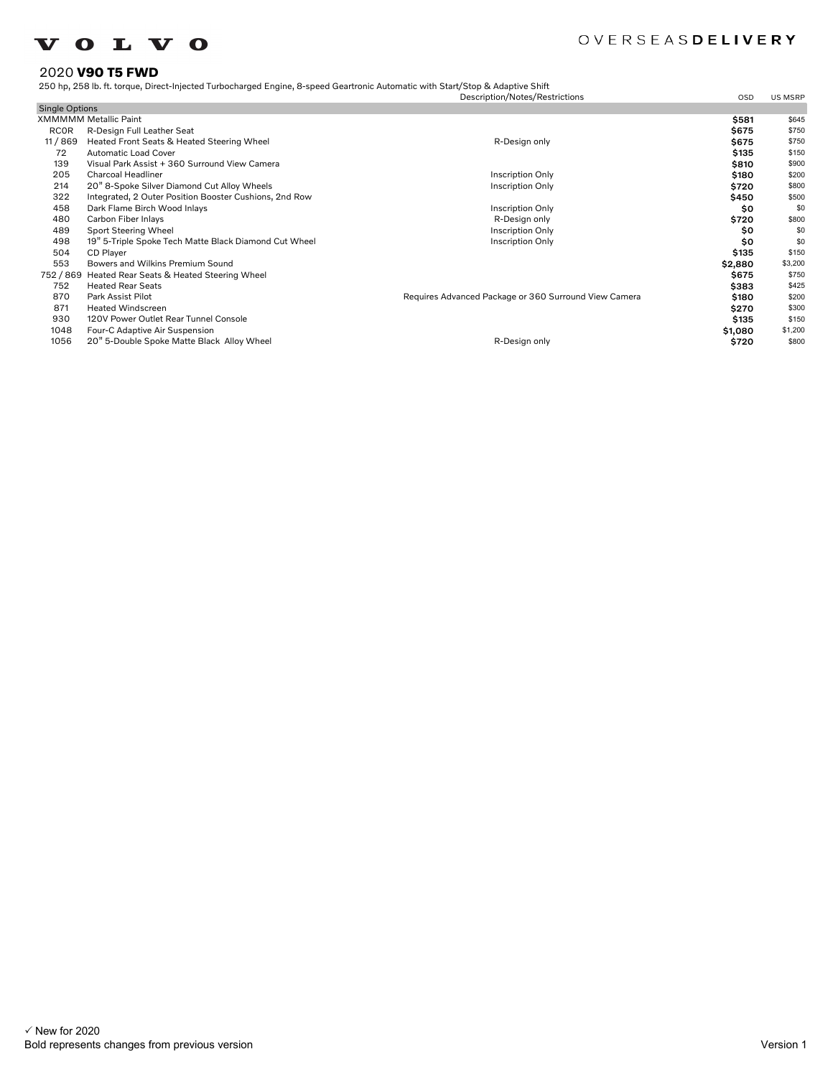### OVERSEASDELIVERY

#### 2020 **V90 T5 FWD**

250 hp, 258 lb. ft. torque, Direct-Injected Turbocharged Engine, 8-speed Geartronic Automatic with Start/Stop & Adaptive Shift

|                       |                                                        | Description/Notes/Restrictions                        | OSD     | <b>US MSRP</b> |
|-----------------------|--------------------------------------------------------|-------------------------------------------------------|---------|----------------|
| <b>Single Options</b> |                                                        |                                                       |         |                |
|                       | <b>XMMMMM Metallic Paint</b>                           |                                                       | \$581   | \$645          |
| <b>RCOR</b>           | R-Design Full Leather Seat                             |                                                       | \$675   | \$750          |
| 11/869                | Heated Front Seats & Heated Steering Wheel             | R-Design only                                         | \$675   | \$750          |
| 72                    | <b>Automatic Load Cover</b>                            |                                                       | \$135   | \$150          |
| 139                   | Visual Park Assist + 360 Surround View Camera          |                                                       | \$810   | \$900          |
| 205                   | <b>Charcoal Headliner</b>                              | <b>Inscription Only</b>                               | \$180   | \$200          |
| 214                   | 20" 8-Spoke Silver Diamond Cut Alloy Wheels            | <b>Inscription Only</b>                               | \$720   | \$800          |
| 322                   | Integrated, 2 Outer Position Booster Cushions, 2nd Row |                                                       | \$450   | \$500          |
| 458                   | Dark Flame Birch Wood Inlays                           | <b>Inscription Only</b>                               | \$0     | \$0            |
| 480                   | Carbon Fiber Inlays                                    | R-Design only                                         | \$720   | \$800          |
| 489                   | Sport Steering Wheel                                   | Inscription Only                                      | \$0     | \$0            |
| 498                   | 19" 5-Triple Spoke Tech Matte Black Diamond Cut Wheel  | <b>Inscription Only</b>                               | \$0     | \$0            |
| 504                   | CD Player                                              |                                                       | \$135   | \$150          |
| 553                   | Bowers and Wilkins Premium Sound                       |                                                       | \$2,880 | \$3,200        |
| 752 / 869             | Heated Rear Seats & Heated Steering Wheel              |                                                       | \$675   | \$750          |
| 752                   | <b>Heated Rear Seats</b>                               |                                                       | \$383   | \$425          |
| 870                   | Park Assist Pilot                                      | Requires Advanced Package or 360 Surround View Camera | \$180   | \$200          |
| 871                   | <b>Heated Windscreen</b>                               |                                                       | \$270   | \$300          |
| 930                   | 120V Power Outlet Rear Tunnel Console                  |                                                       | \$135   | \$150          |
| 1048                  | Four-C Adaptive Air Suspension                         |                                                       | \$1,080 | \$1,200        |
| 1056                  | 20" 5-Double Spoke Matte Black Alloy Wheel             | R-Design only                                         | \$720   | \$800          |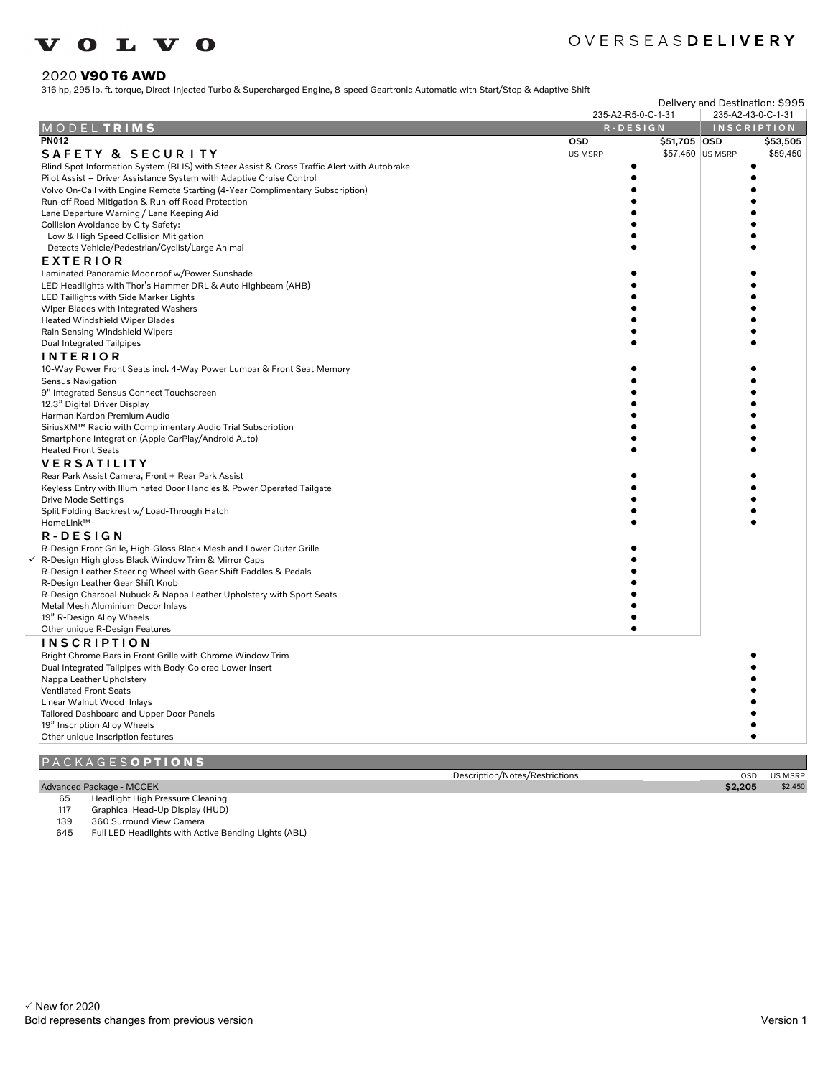### OVERSEASDELIVERY

#### 2020 **V90 T6 AWD**

316 hp, 295 lb. ft. torque, Direct-Injected Turbo & Supercharged Engine, 8-speed Geartronic Automatic with Start/Stop & Adaptive Shift

|                                                                                             | Delivery and Destination: \$995 |                    |                |
|---------------------------------------------------------------------------------------------|---------------------------------|--------------------|----------------|
|                                                                                             | 235-A2-R5-0-C-1-31              | 235-A2-43-0-C-1-31 |                |
| MODELTRIMS                                                                                  | R-DESIGN                        | <b>INSCRIPTION</b> |                |
| <b>PN012</b>                                                                                | <b>OSD</b><br>\$51,705 OSD      |                    | \$53,505       |
| SAFETY & SECURITY                                                                           | <b>US MSRP</b>                  | \$57,450 US MSRP   | \$59,450       |
| Blind Spot Information System (BLIS) with Steer Assist & Cross Traffic Alert with Autobrake |                                 |                    |                |
| Pilot Assist - Driver Assistance System with Adaptive Cruise Control                        |                                 |                    |                |
| Volvo On-Call with Engine Remote Starting (4-Year Complimentary Subscription)               |                                 |                    |                |
| Run-off Road Mitigation & Run-off Road Protection                                           |                                 |                    |                |
| Lane Departure Warning / Lane Keeping Aid                                                   |                                 |                    |                |
| Collision Avoidance by City Safety:                                                         |                                 |                    |                |
| Low & High Speed Collision Mitigation                                                       |                                 |                    |                |
| Detects Vehicle/Pedestrian/Cyclist/Large Animal                                             |                                 |                    |                |
| EXTERIOR                                                                                    |                                 |                    |                |
| Laminated Panoramic Moonroof w/Power Sunshade                                               |                                 |                    |                |
| LED Headlights with Thor's Hammer DRL & Auto Highbeam (AHB)                                 |                                 |                    |                |
| LED Taillights with Side Marker Lights                                                      |                                 |                    |                |
| Wiper Blades with Integrated Washers                                                        |                                 |                    |                |
| Heated Windshield Wiper Blades                                                              |                                 |                    |                |
| Rain Sensing Windshield Wipers                                                              |                                 |                    |                |
| Dual Integrated Tailpipes                                                                   |                                 |                    |                |
|                                                                                             |                                 |                    |                |
| <b>INTERIOR</b>                                                                             |                                 |                    |                |
| 10-Way Power Front Seats incl. 4-Way Power Lumbar & Front Seat Memory                       |                                 |                    |                |
| <b>Sensus Navigation</b>                                                                    |                                 |                    |                |
| 9" Integrated Sensus Connect Touchscreen                                                    |                                 |                    |                |
| 12.3" Digital Driver Display                                                                |                                 |                    |                |
| Harman Kardon Premium Audio                                                                 |                                 |                    |                |
| SiriusXM™ Radio with Complimentary Audio Trial Subscription                                 |                                 |                    |                |
| Smartphone Integration (Apple CarPlay/Android Auto)                                         |                                 |                    |                |
| <b>Heated Front Seats</b>                                                                   |                                 |                    |                |
| <b>VERSATILITY</b>                                                                          |                                 |                    |                |
| Rear Park Assist Camera, Front + Rear Park Assist                                           |                                 |                    |                |
| Keyless Entry with Illuminated Door Handles & Power Operated Tailgate                       |                                 |                    |                |
| Drive Mode Settings                                                                         |                                 |                    |                |
| Split Folding Backrest w/ Load-Through Hatch                                                |                                 |                    |                |
| HomeLink™                                                                                   |                                 |                    |                |
| R-DESIGN                                                                                    |                                 |                    |                |
| R-Design Front Grille, High-Gloss Black Mesh and Lower Outer Grille                         |                                 |                    |                |
| √ R-Design High gloss Black Window Trim & Mirror Caps                                       |                                 |                    |                |
| R-Design Leather Steering Wheel with Gear Shift Paddles & Pedals                            |                                 |                    |                |
| R-Design Leather Gear Shift Knob                                                            |                                 |                    |                |
| R-Design Charcoal Nubuck & Nappa Leather Upholstery with Sport Seats                        |                                 |                    |                |
| Metal Mesh Aluminium Decor Inlays                                                           |                                 |                    |                |
| 19" R-Design Alloy Wheels                                                                   |                                 |                    |                |
| Other unique R-Design Features                                                              |                                 |                    |                |
| <b>INSCRIPTION</b>                                                                          |                                 |                    |                |
| Bright Chrome Bars in Front Grille with Chrome Window Trim                                  |                                 |                    |                |
| Dual Integrated Tailpipes with Body-Colored Lower Insert                                    |                                 |                    |                |
| Nappa Leather Upholstery                                                                    |                                 |                    |                |
| <b>Ventilated Front Seats</b>                                                               |                                 |                    |                |
| Linear Walnut Wood Inlays                                                                   |                                 |                    |                |
| Tailored Dashboard and Upper Door Panels                                                    |                                 |                    |                |
| 19" Inscription Alloy Wheels                                                                |                                 |                    |                |
| Other unique Inscription features                                                           |                                 |                    |                |
|                                                                                             |                                 |                    |                |
| PACKAGESOPTIONS                                                                             |                                 |                    |                |
|                                                                                             | Description/Notes/Restrictions  | OSD                | <b>US MSRP</b> |
| Advanced Package - MCCEK                                                                    |                                 | \$2,205            | \$2,450        |
|                                                                                             |                                 |                    |                |

#### Advanced Package - MCCEK

- 65 Headlight High Pressure Cleaning
- 117 Graphical Head-Up Display (HUD)

139 360 Surround View Camera<br>645 Full LED Headlights with Act

Full LED Headlights with Active Bending Lights (ABL)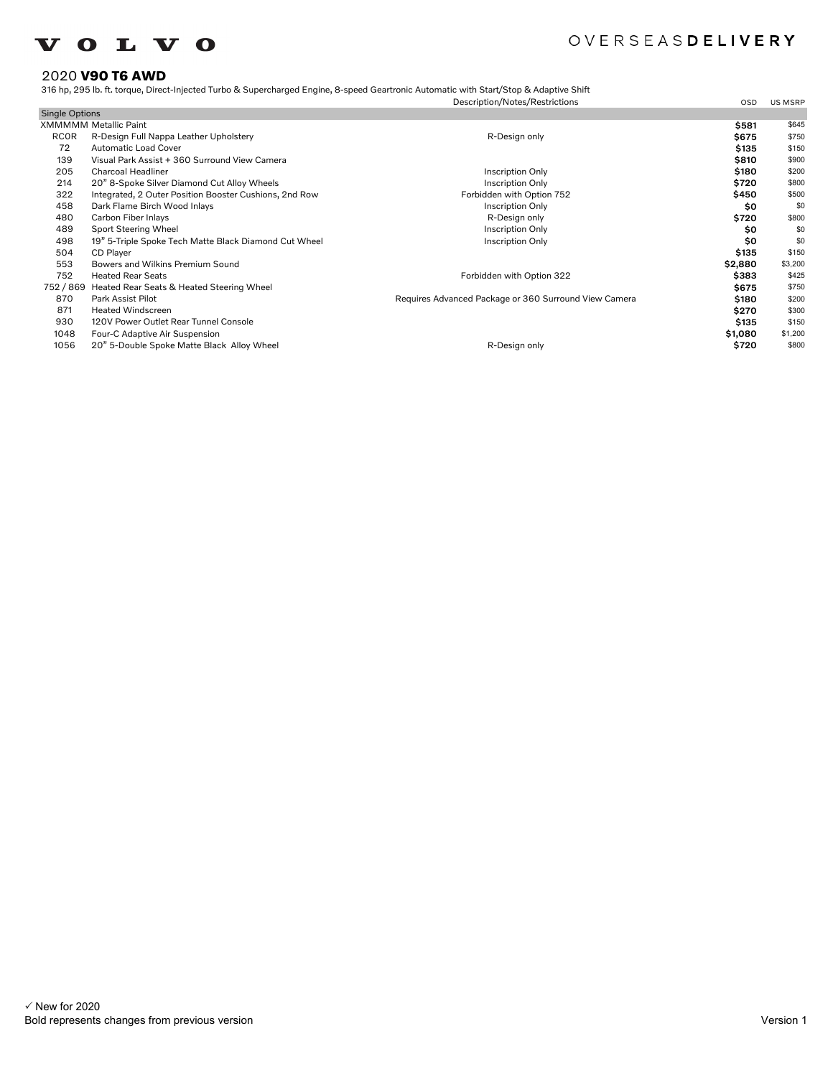### OVERSEASDELIVERY

### 2020 **V90 T6 AWD**

#### 316 hp, 295 lb. ft. torque, Direct-Injected Turbo & Supercharged Engine, 8-speed Geartronic Automatic with Start/Stop & Adaptive Shift

|                       |                                                        | Description/Notes/Restrictions                        | <b>OSD</b> | <b>US MSRP</b> |
|-----------------------|--------------------------------------------------------|-------------------------------------------------------|------------|----------------|
| <b>Single Options</b> |                                                        |                                                       |            |                |
|                       | <b>XMMMMM Metallic Paint</b>                           |                                                       | \$581      | \$645          |
| <b>RCOR</b>           | R-Design Full Nappa Leather Upholstery                 | R-Design only                                         | \$675      | \$750          |
| 72                    | <b>Automatic Load Cover</b>                            |                                                       | \$135      | \$150          |
| 139                   | Visual Park Assist + 360 Surround View Camera          |                                                       | \$810      | \$900          |
| 205                   | Charcoal Headliner                                     | <b>Inscription Only</b>                               | \$180      | \$200          |
| 214                   | 20" 8-Spoke Silver Diamond Cut Alloy Wheels            | <b>Inscription Only</b>                               | \$720      | \$800          |
| 322                   | Integrated, 2 Outer Position Booster Cushions, 2nd Row | Forbidden with Option 752                             | \$450      | \$500          |
| 458                   | Dark Flame Birch Wood Inlays                           | <b>Inscription Only</b>                               | \$0        | \$0            |
| 480                   | Carbon Fiber Inlays                                    | R-Design only                                         | \$720      | \$800          |
| 489                   | Sport Steering Wheel                                   | <b>Inscription Only</b>                               | \$0        | \$0            |
| 498                   | 19" 5-Triple Spoke Tech Matte Black Diamond Cut Wheel  | <b>Inscription Only</b>                               | \$0        | \$0            |
| 504                   | CD Player                                              |                                                       | \$135      | \$150          |
| 553                   | Bowers and Wilkins Premium Sound                       |                                                       | \$2,880    | \$3,200        |
| 752                   | <b>Heated Rear Seats</b>                               | Forbidden with Option 322                             | \$383      | \$425          |
| 752/869               | Heated Rear Seats & Heated Steering Wheel              |                                                       | \$675      | \$750          |
| 870                   | Park Assist Pilot                                      | Requires Advanced Package or 360 Surround View Camera | \$180      | \$200          |
| 871                   | <b>Heated Windscreen</b>                               |                                                       | \$270      | \$300          |
| 930                   | 120V Power Outlet Rear Tunnel Console                  |                                                       | \$135      | \$150          |
| 1048                  | Four-C Adaptive Air Suspension                         |                                                       | \$1,080    | \$1,200        |
| 1056                  | 20" 5-Double Spoke Matte Black Alloy Wheel             | R-Design only                                         | \$720      | \$800          |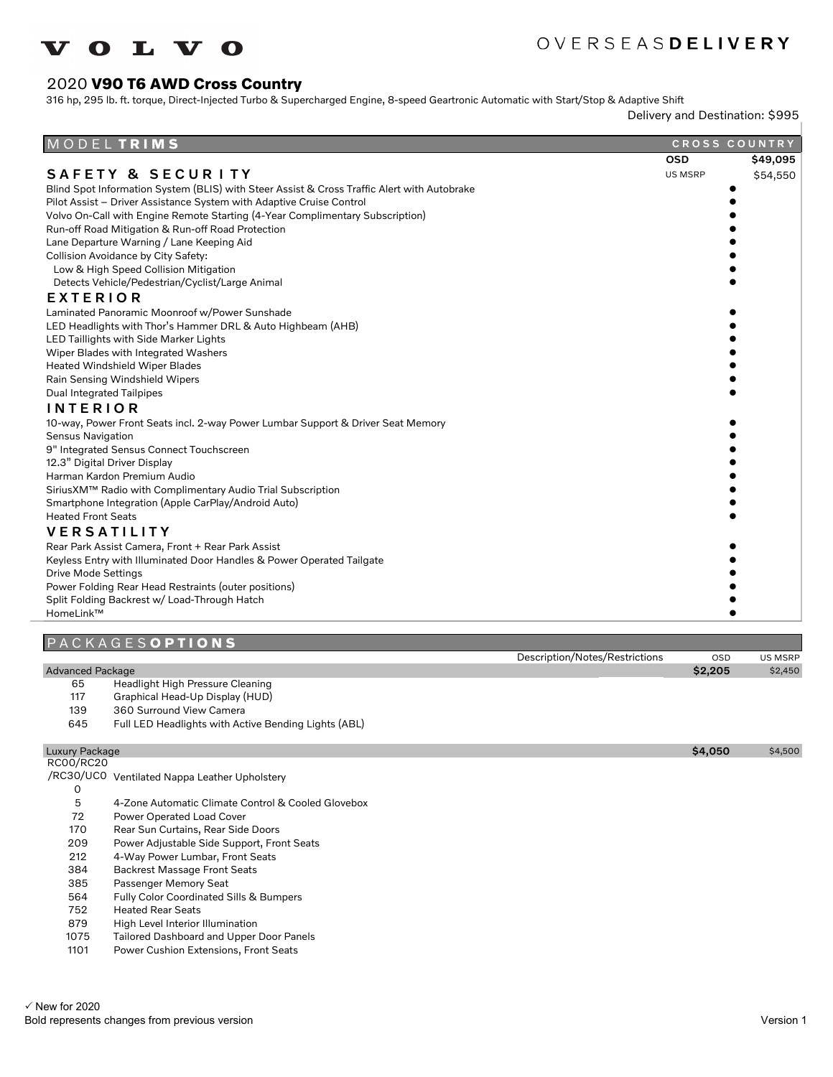

## OVERSEASDELIVERY

Description/Notes/Restrictions OSD US MSRP

### 2020 **V90 T6 AWD Cross Country**

316 hp, 295 lb. ft. torque, Direct-Injected Turbo & Supercharged Engine, 8-speed Geartronic Automatic with Start/Stop & Adaptive Shift

Delivery and Destination: \$995

| MODELTRIMS                                                                                  |                | CROSS COUNTRY |
|---------------------------------------------------------------------------------------------|----------------|---------------|
|                                                                                             | <b>OSD</b>     | \$49,095      |
| <b>SAFETY &amp; SECURITY</b>                                                                | <b>US MSRP</b> | \$54,550      |
| Blind Spot Information System (BLIS) with Steer Assist & Cross Traffic Alert with Autobrake |                |               |
| Pilot Assist - Driver Assistance System with Adaptive Cruise Control                        |                |               |
| Volvo On-Call with Engine Remote Starting (4-Year Complimentary Subscription)               |                |               |
| Run-off Road Mitigation & Run-off Road Protection                                           |                |               |
| Lane Departure Warning / Lane Keeping Aid                                                   |                |               |
| Collision Avoidance by City Safety:                                                         |                |               |
| Low & High Speed Collision Mitigation                                                       |                |               |
| Detects Vehicle/Pedestrian/Cyclist/Large Animal                                             |                |               |
| <b>EXTERIOR</b>                                                                             |                |               |
| Laminated Panoramic Moonroof w/Power Sunshade                                               |                |               |
| LED Headlights with Thor's Hammer DRL & Auto Highbeam (AHB)                                 |                |               |
| LED Taillights with Side Marker Lights                                                      |                |               |
| Wiper Blades with Integrated Washers                                                        |                |               |
| <b>Heated Windshield Wiper Blades</b>                                                       |                |               |
| Rain Sensing Windshield Wipers                                                              |                |               |
| <b>Dual Integrated Tailpipes</b>                                                            |                |               |
| <b>INTERIOR</b>                                                                             |                |               |
| 10-way, Power Front Seats incl. 2-way Power Lumbar Support & Driver Seat Memory             |                |               |
| <b>Sensus Navigation</b>                                                                    |                |               |
| 9" Integrated Sensus Connect Touchscreen                                                    |                |               |
| 12.3" Digital Driver Display                                                                |                |               |
| Harman Kardon Premium Audio                                                                 |                |               |
| SiriusXM™ Radio with Complimentary Audio Trial Subscription                                 |                |               |
| Smartphone Integration (Apple CarPlay/Android Auto)                                         |                |               |
| <b>Heated Front Seats</b>                                                                   |                |               |
| <b>VERSATILITY</b>                                                                          |                |               |
| Rear Park Assist Camera, Front + Rear Park Assist                                           |                |               |
| Keyless Entry with Illuminated Door Handles & Power Operated Tailgate                       |                |               |
| <b>Drive Mode Settings</b>                                                                  |                |               |
| Power Folding Rear Head Restraints (outer positions)                                        |                |               |
| Split Folding Backrest w/ Load-Through Hatch                                                |                |               |
| HomeLink™                                                                                   |                |               |

#### P A C K A G E S **O P T I O N S**

| <b>Advanced Package</b> | \$2,205 | \$2,450 |
|-------------------------|---------|---------|
|                         |         |         |

- 65 Headlight High Pressure Cleaning<br>117 Graphical Head-Up Display (HUD)
- Graphical Head-Up Display (HUD)
- 139 360 Surround View Camera
- 645 Full LED Headlights with Active Bending Lights (ABL)

#### Luxury Package \$4,050 \$4,500 RC00/RC20

/RC30/UC0 Ventilated Nappa Leather Upholstery 0 5 4-Zone Automatic Climate Control & Cooled Glovebox 72 Power Operated Load Cover<br>170 Rear Sun Curtains, Rear Side Rear Sun Curtains, Rear Side Doors 209 Power Adjustable Side Support, Front Seats 212 4-Way Power Lumbar, Front Seats

- 384 Backrest Massage Front Seats
- 385 Passenger Memory Seat
- 564 Fully Color Coordinated Sills & Bumpers
- 752 Heated Rear Seats<br>879 High Level Interior
- High Level Interior Illumination
- 1075 Tailored Dashboard and Upper Door Panels
- 1101 Power Cushion Extensions, Front Seats